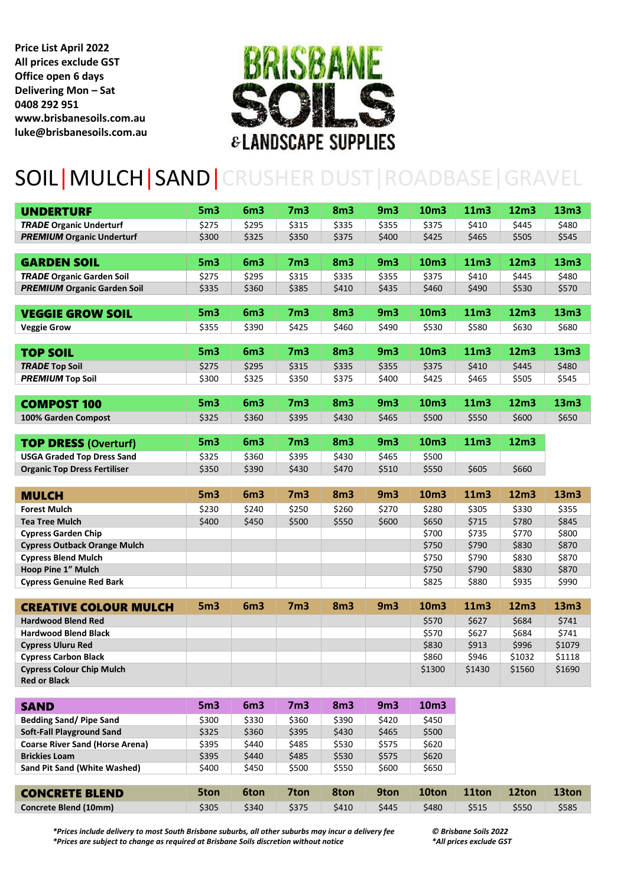**Price List April 2022 All prices exclude GST Office open 6 days Delivering Mon – Sat 0408 292 951 www.brisbanesoils.com.au luke@brisbanesoils.com.au**



## SOIL|MULCH|SAND|CRUSHER DUST|ROADBASE|GRAVEL

| <b>UNDERTURF</b>                               | 5 <sub>m3</sub> | 6 <sub>m3</sub> | 7 <sub>m3</sub> | 8 <sub>m3</sub> | 9 <sub>m3</sub> | 10m3           | 11m3           | 12m3             | 13 <sub>m3</sub> |
|------------------------------------------------|-----------------|-----------------|-----------------|-----------------|-----------------|----------------|----------------|------------------|------------------|
| <b>TRADE Organic Underturf</b>                 | \$275           | \$295           | \$315           | \$335           | \$355           | \$375          | \$410          | \$445            | \$480            |
| <b>PREMIUM Organic Underturf</b>               | \$300           | \$325           | \$350           | \$375           | \$400           | \$425          | \$465          | \$505            | \$545            |
|                                                |                 |                 |                 |                 |                 |                |                |                  |                  |
| <b>GARDEN SOIL</b>                             | 5 <sub>m3</sub> | 6 <sub>m3</sub> | 7 <sub>m3</sub> | 8 <sub>m3</sub> | 9 <sub>m3</sub> | 10m3           | 11m3           | 12m3             | 13m3             |
| <b>TRADE Organic Garden Soil</b>               | \$275           | \$295           | \$315           | \$335           | \$355           | \$375          | \$410          | \$445            | \$480            |
| <b>PREMIUM Organic Garden Soil</b>             | \$335           | \$360           | \$385           | \$410           | \$435           | \$460          | \$490          | \$530            | \$570            |
|                                                |                 |                 |                 |                 |                 |                |                |                  |                  |
| <b>VEGGIE GROW SOIL</b>                        | 5 <sub>m3</sub> | 6 <sub>m3</sub> | 7 <sub>m3</sub> | 8 <sub>m3</sub> | 9 <sub>m3</sub> | 10m3           | 11m3           | 12m3             | 13m3             |
| <b>Veggie Grow</b>                             | \$355           | \$390           | \$425           | \$460           | \$490           | \$530          | \$580          | \$630            | \$680            |
|                                                |                 |                 |                 |                 |                 |                |                |                  |                  |
| <b>TOP SOIL</b>                                | 5 <sub>m3</sub> | 6 <sub>m3</sub> | 7 <sub>m3</sub> | 8 <sub>m3</sub> | 9 <sub>m3</sub> | 10m3           | 11m3           | 12 <sub>m3</sub> | 13m3             |
| <b>TRADE Top Soil</b>                          | \$275           | \$295           | \$315           | \$335           | \$355           | \$375          | \$410          | \$445            | \$480            |
| <b>PREMIUM Top Soil</b>                        | \$300           | \$325           | \$350           | \$375           | \$400           | \$425          | \$465          | \$505            | \$545            |
|                                                |                 |                 |                 |                 |                 |                |                |                  |                  |
| <b>COMPOST 100</b>                             | 5 <sub>m3</sub> | 6 <sub>m3</sub> | 7 <sub>m3</sub> | 8 <sub>m3</sub> | 9 <sub>m3</sub> | 10m3           | 11m3           | 12m3             | 13m3             |
| 100% Garden Compost                            | \$325           | \$360           | \$395           | \$430           | \$465           | \$500          | \$550          | \$600            | \$650            |
|                                                |                 |                 |                 |                 |                 |                |                |                  |                  |
| <b>TOP DRESS (Overturf)</b>                    | 5 <sub>m3</sub> | 6 <sub>m3</sub> | 7 <sub>m3</sub> | 8 <sub>m3</sub> | 9 <sub>m3</sub> | 10m3           | 11m3           | 12 <sub>m3</sub> |                  |
| <b>USGA Graded Top Dress Sand</b>              | \$325           | \$360           | \$395           | \$430           | \$465           | \$500          |                |                  |                  |
| <b>Organic Top Dress Fertiliser</b>            | \$350           | \$390           | \$430           | \$470           | \$510           | \$550          | \$605          | \$660            |                  |
|                                                |                 |                 |                 |                 |                 |                |                |                  |                  |
| <b>MULCH</b>                                   | 5 <sub>m3</sub> | 6 <sub>m3</sub> | 7 <sub>m3</sub> | 8 <sub>m3</sub> | 9 <sub>m3</sub> | 10m3           | 11m3           | 12m3             | 13m3             |
| <b>Forest Mulch</b>                            | \$230           | \$240           | \$250           | \$260           | \$270           | \$280          | \$305          | \$330            | \$355            |
| Tea Tree Mulch                                 | \$400           | \$450           | \$500           | \$550           | \$600           | \$650          | \$715          | \$780            | \$845            |
| <b>Cypress Garden Chip</b>                     |                 |                 |                 |                 |                 | \$700          | \$735          | \$770            | \$800            |
| <b>Cypress Outback Orange Mulch</b>            |                 |                 |                 |                 |                 | \$750          | \$790          | \$830            | \$870            |
| <b>Cypress Blend Mulch</b>                     |                 |                 |                 |                 |                 | \$750          | \$790          | \$830            | \$870            |
| Hoop Pine 1" Mulch                             |                 |                 |                 |                 |                 | \$750          | \$790          | \$830            | \$870            |
| <b>Cypress Genuine Red Bark</b>                |                 |                 |                 |                 |                 | \$825          | \$880          | \$935            | \$990            |
|                                                |                 |                 |                 |                 |                 |                |                |                  |                  |
| <b>CREATIVE COLOUR MULCH</b>                   | 5 <sub>m3</sub> | 6 <sub>m3</sub> | 7 <sub>m3</sub> | 8 <sub>m3</sub> | 9 <sub>m3</sub> | 10m3           | 11m3           | 12m3             | 13m3             |
| <b>Hardwood Blend Red</b>                      |                 |                 |                 |                 |                 | \$570          | \$627          | \$684            | \$741            |
| <b>Hardwood Blend Black</b>                    |                 |                 |                 |                 |                 | \$570          | \$627          | \$684            | \$741            |
| <b>Cypress Uluru Red</b>                       |                 |                 |                 |                 |                 | \$830          | \$913          | \$996            | \$1079           |
| <b>Cypress Carbon Black</b>                    |                 |                 |                 |                 |                 | \$860          | \$946          | \$1032           | \$1118           |
| <b>Cypress Colour Chip Mulch</b>               |                 |                 |                 |                 |                 | \$1300         | \$1430         | \$1560           | \$1690           |
| <b>Red or Black</b>                            |                 |                 |                 |                 |                 |                |                |                  |                  |
|                                                |                 |                 |                 |                 |                 |                |                |                  |                  |
| <b>SAND</b>                                    | 5 <sub>m3</sub> | 6 <sub>m3</sub> | 7 <sub>m3</sub> | 8 <sub>m3</sub> | 9 <sub>m3</sub> | 10m3           |                |                  |                  |
| <b>Bedding Sand/Pipe Sand</b>                  | \$300           | \$330           | \$360           | \$390           | \$420           | \$450          |                |                  |                  |
|                                                |                 |                 |                 |                 |                 | \$500          |                |                  |                  |
| <b>Soft-Fall Playground Sand</b>               | \$325           | \$360           | \$395           | \$430           | \$465           |                |                |                  |                  |
| <b>Coarse River Sand (Horse Arena)</b>         | \$395           | \$440           | \$485           | \$530           | \$575           | \$620          |                |                  |                  |
| <b>Brickies Loam</b>                           | \$395           | \$440           | \$485           | \$530           | \$575           | \$620          |                |                  |                  |
| Sand Pit Sand (White Washed)                   | \$400           | \$450           | \$500           | \$550           | \$600           | \$650          |                |                  |                  |
|                                                |                 |                 |                 |                 |                 |                |                |                  |                  |
| <b>CONCRETE BLEND</b><br>Concrete Blend (10mm) | 5ton<br>\$305   | 6ton<br>\$340   | 7ton<br>\$375   | 8ton<br>\$410   | 9ton<br>\$445   | 10ton<br>\$480 | 11ton<br>\$515 | 12ton<br>\$550   | 13ton<br>\$585   |

*\*Prices include delivery to most South Brisbane suburbs, all other suburbs may incur a delivery fee © Brisbane Soils 2022 \*Prices are subject to change as required at Brisbane Soils discretion without notice*